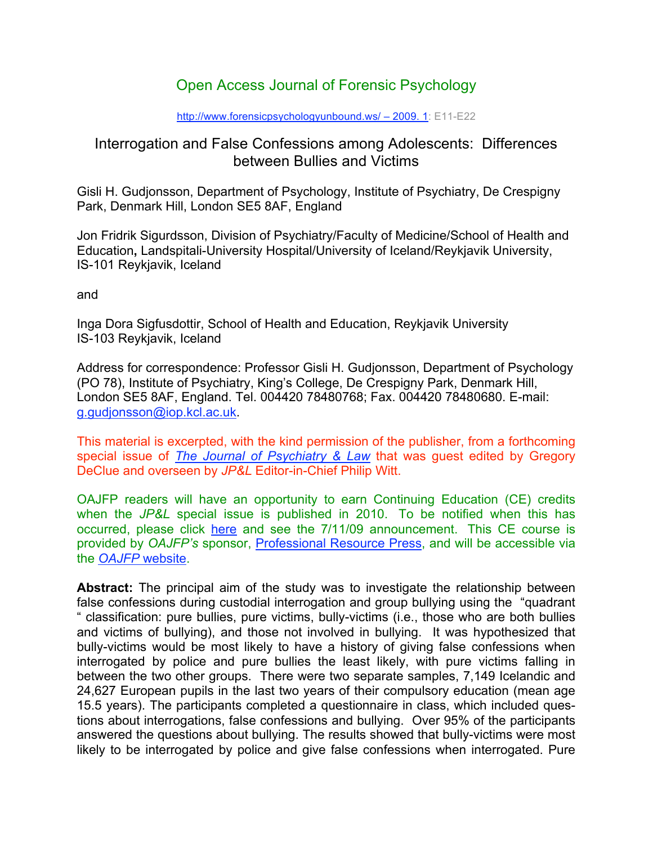# Open Access Journal of Forensic Psychology

#### http://www.forensicpsychologyunbound.ws/ – 2009. 1: E11-E22

# Interrogation and False Confessions among Adolescents: Differences between Bullies and Victims

Gisli H. Gudjonsson, Department of Psychology, Institute of Psychiatry, De Crespigny Park, Denmark Hill, London SE5 8AF, England

Jon Fridrik Sigurdsson, Division of Psychiatry/Faculty of Medicine/School of Health and Education**,** Landspitali-University Hospital/University of Iceland/Reykjavik University, IS-101 Reykjavik, Iceland

and

Inga Dora Sigfusdottir, School of Health and Education, Reykjavik University IS-103 Reykjavik, Iceland

Address for correspondence: Professor Gisli H. Gudjonsson, Department of Psychology (PO 78), Institute of Psychiatry, King's College, De Crespigny Park, Denmark Hill, London SE5 8AF, England. Tel. 004420 78480768; Fax. 004420 78480680. E-mail: g.gudjonsson@iop.kcl.ac.uk.

This material is excerpted, with the kind permission of the publisher, from a forthcoming special issue of *The Journal of Psychiatry & Law* that was guest edited by Gregory DeClue and overseen by *JP&L* Editor-in-Chief Philip Witt.

OAJFP readers will have an opportunity to earn Continuing Education (CE) credits when the *JP&L* special issue is published in 2010. To be notified when this has occurred, please click here and see the 7/11/09 announcement. This CE course is provided by *OAJFP's* sponsor, Professional Resource Press, and will be accessible via the *OAJFP* website.

**Abstract:** The principal aim of the study was to investigate the relationship between false confessions during custodial interrogation and group bullying using the "quadrant " classification: pure bullies, pure victims, bully-victims (i.e., those who are both bullies and victims of bullying), and those not involved in bullying. It was hypothesized that bully-victims would be most likely to have a history of giving false confessions when interrogated by police and pure bullies the least likely, with pure victims falling in between the two other groups. There were two separate samples, 7,149 Icelandic and 24,627 European pupils in the last two years of their compulsory education (mean age 15.5 years). The participants completed a questionnaire in class, which included questions about interrogations, false confessions and bullying. Over 95% of the participants answered the questions about bullying. The results showed that bully-victims were most likely to be interrogated by police and give false confessions when interrogated. Pure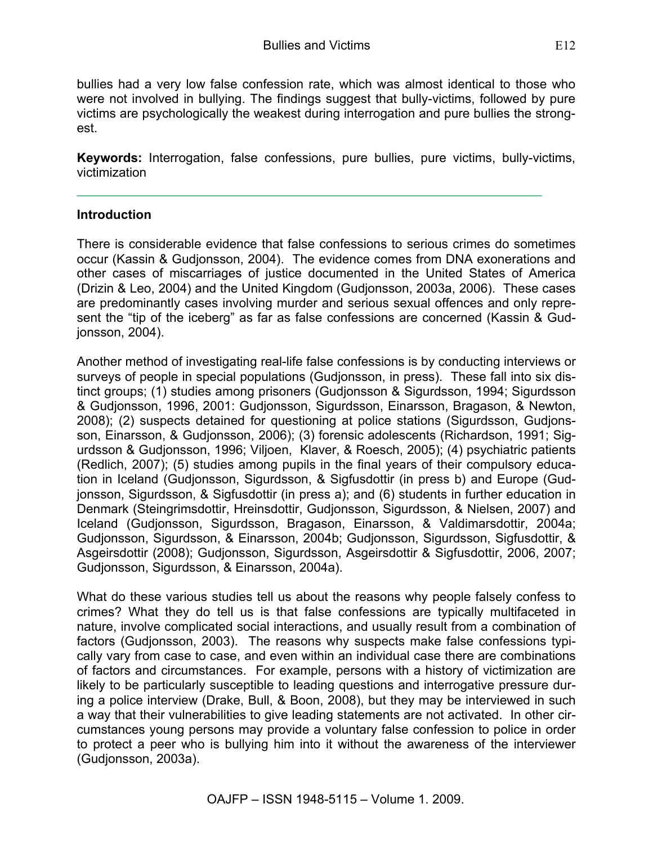bullies had a very low false confession rate, which was almost identical to those who were not involved in bullying. The findings suggest that bully-victims, followed by pure victims are psychologically the weakest during interrogation and pure bullies the strongest.

**Keywords:** Interrogation, false confessions, pure bullies, pure victims, bully-victims, victimization

### **Introduction**

There is considerable evidence that false confessions to serious crimes do sometimes occur (Kassin & Gudjonsson, 2004). The evidence comes from DNA exonerations and other cases of miscarriages of justice documented in the United States of America (Drizin & Leo, 2004) and the United Kingdom (Gudjonsson, 2003a, 2006). These cases are predominantly cases involving murder and serious sexual offences and only represent the "tip of the iceberg" as far as false confessions are concerned (Kassin & Gudjonsson, 2004).

Another method of investigating real-life false confessions is by conducting interviews or surveys of people in special populations (Gudjonsson, in press). These fall into six distinct groups; (1) studies among prisoners (Gudjonsson & Sigurdsson, 1994; Sigurdsson & Gudjonsson, 1996, 2001: Gudjonsson, Sigurdsson, Einarsson, Bragason, & Newton, 2008); (2) suspects detained for questioning at police stations (Sigurdsson, Gudjonsson, Einarsson, & Gudjonsson, 2006); (3) forensic adolescents (Richardson, 1991; Sigurdsson & Gudjonsson, 1996; Viljoen, Klaver, & Roesch, 2005); (4) psychiatric patients (Redlich, 2007); (5) studies among pupils in the final years of their compulsory education in Iceland (Gudjonsson, Sigurdsson, & Sigfusdottir (in press b) and Europe (Gudjonsson, Sigurdsson, & Sigfusdottir (in press a); and (6) students in further education in Denmark (Steingrimsdottir, Hreinsdottir, Gudjonsson, Sigurdsson, & Nielsen, 2007) and Iceland (Gudjonsson, Sigurdsson, Bragason, Einarsson, & Valdimarsdottir, 2004a; Gudjonsson, Sigurdsson, & Einarsson, 2004b; Gudjonsson, Sigurdsson, Sigfusdottir, & Asgeirsdottir (2008); Gudjonsson, Sigurdsson, Asgeirsdottir & Sigfusdottir, 2006, 2007; Gudjonsson, Sigurdsson, & Einarsson, 2004a).

What do these various studies tell us about the reasons why people falsely confess to crimes? What they do tell us is that false confessions are typically multifaceted in nature, involve complicated social interactions, and usually result from a combination of factors (Gudjonsson, 2003). The reasons why suspects make false confessions typically vary from case to case, and even within an individual case there are combinations of factors and circumstances. For example, persons with a history of victimization are likely to be particularly susceptible to leading questions and interrogative pressure during a police interview (Drake, Bull, & Boon, 2008), but they may be interviewed in such a way that their vulnerabilities to give leading statements are not activated. In other circumstances young persons may provide a voluntary false confession to police in order to protect a peer who is bullying him into it without the awareness of the interviewer (Gudjonsson, 2003a).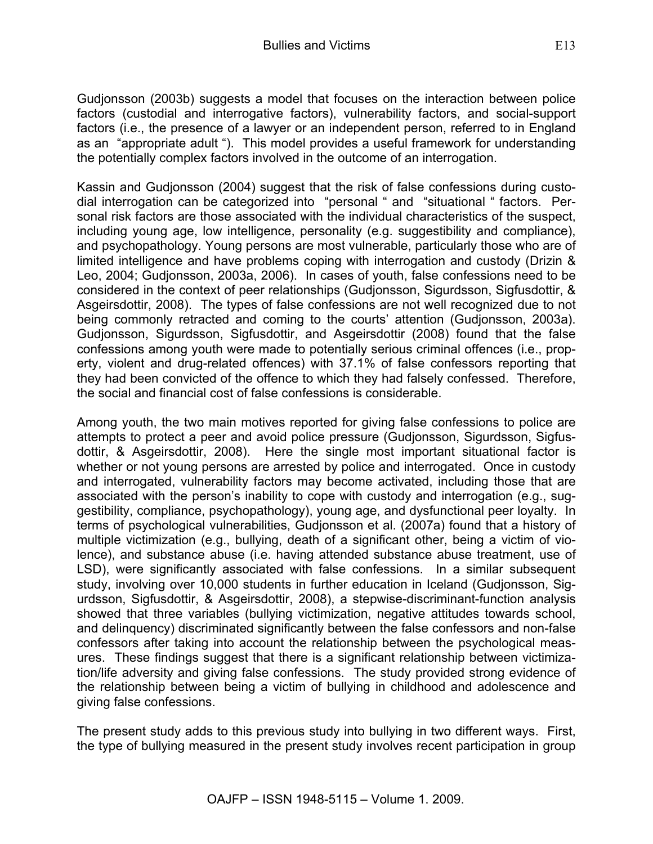Gudjonsson (2003b) suggests a model that focuses on the interaction between police factors (custodial and interrogative factors), vulnerability factors, and social-support factors (i.e., the presence of a lawyer or an independent person, referred to in England as an "appropriate adult "). This model provides a useful framework for understanding the potentially complex factors involved in the outcome of an interrogation.

Kassin and Gudjonsson (2004) suggest that the risk of false confessions during custodial interrogation can be categorized into "personal " and "situational " factors. Personal risk factors are those associated with the individual characteristics of the suspect, including young age, low intelligence, personality (e.g. suggestibility and compliance), and psychopathology. Young persons are most vulnerable, particularly those who are of limited intelligence and have problems coping with interrogation and custody (Drizin & Leo, 2004; Gudjonsson, 2003a, 2006). In cases of youth, false confessions need to be considered in the context of peer relationships (Gudjonsson, Sigurdsson, Sigfusdottir, & Asgeirsdottir, 2008). The types of false confessions are not well recognized due to not being commonly retracted and coming to the courts' attention (Gudjonsson, 2003a). Gudjonsson, Sigurdsson, Sigfusdottir, and Asgeirsdottir (2008) found that the false confessions among youth were made to potentially serious criminal offences (i.e., property, violent and drug-related offences) with 37.1% of false confessors reporting that they had been convicted of the offence to which they had falsely confessed. Therefore, the social and financial cost of false confessions is considerable.

Among youth, the two main motives reported for giving false confessions to police are attempts to protect a peer and avoid police pressure (Gudjonsson, Sigurdsson, Sigfusdottir, & Asgeirsdottir, 2008). Here the single most important situational factor is whether or not young persons are arrested by police and interrogated. Once in custody and interrogated, vulnerability factors may become activated, including those that are associated with the person's inability to cope with custody and interrogation (e.g., suggestibility, compliance, psychopathology), young age, and dysfunctional peer loyalty. In terms of psychological vulnerabilities, Gudjonsson et al. (2007a) found that a history of multiple victimization (e.g., bullying, death of a significant other, being a victim of violence), and substance abuse (i.e. having attended substance abuse treatment, use of LSD), were significantly associated with false confessions. In a similar subsequent study, involving over 10,000 students in further education in Iceland (Gudjonsson, Sigurdsson, Sigfusdottir, & Asgeirsdottir, 2008), a stepwise-discriminant-function analysis showed that three variables (bullying victimization, negative attitudes towards school, and delinquency) discriminated significantly between the false confessors and non-false confessors after taking into account the relationship between the psychological measures. These findings suggest that there is a significant relationship between victimization/life adversity and giving false confessions. The study provided strong evidence of the relationship between being a victim of bullying in childhood and adolescence and giving false confessions.

The present study adds to this previous study into bullying in two different ways. First, the type of bullying measured in the present study involves recent participation in group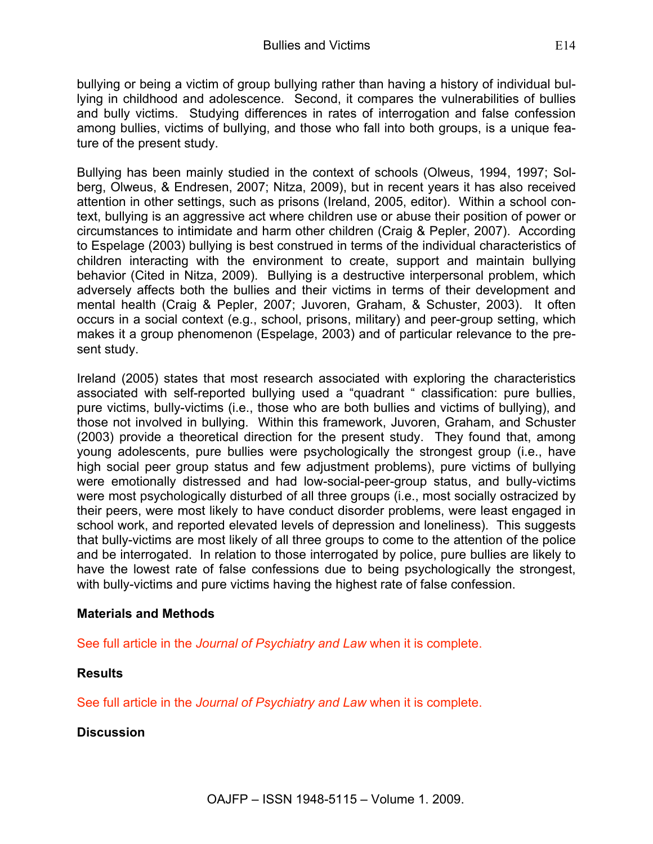bullying or being a victim of group bullying rather than having a history of individual bullying in childhood and adolescence. Second, it compares the vulnerabilities of bullies and bully victims. Studying differences in rates of interrogation and false confession among bullies, victims of bullying, and those who fall into both groups, is a unique feature of the present study.

Bullying has been mainly studied in the context of schools (Olweus, 1994, 1997; Solberg, Olweus, & Endresen, 2007; Nitza, 2009), but in recent years it has also received attention in other settings, such as prisons (Ireland, 2005, editor). Within a school context, bullying is an aggressive act where children use or abuse their position of power or circumstances to intimidate and harm other children (Craig & Pepler, 2007). According to Espelage (2003) bullying is best construed in terms of the individual characteristics of children interacting with the environment to create, support and maintain bullying behavior (Cited in Nitza, 2009). Bullying is a destructive interpersonal problem, which adversely affects both the bullies and their victims in terms of their development and mental health (Craig & Pepler, 2007; Juvoren, Graham, & Schuster, 2003). It often occurs in a social context (e.g., school, prisons, military) and peer-group setting, which makes it a group phenomenon (Espelage, 2003) and of particular relevance to the present study.

Ireland (2005) states that most research associated with exploring the characteristics associated with self-reported bullying used a "quadrant " classification: pure bullies, pure victims, bully-victims (i.e., those who are both bullies and victims of bullying), and those not involved in bullying. Within this framework, Juvoren, Graham, and Schuster (2003) provide a theoretical direction for the present study. They found that, among young adolescents, pure bullies were psychologically the strongest group (i.e., have high social peer group status and few adjustment problems), pure victims of bullying were emotionally distressed and had low-social-peer-group status, and bully-victims were most psychologically disturbed of all three groups (i.e., most socially ostracized by their peers, were most likely to have conduct disorder problems, were least engaged in school work, and reported elevated levels of depression and loneliness). This suggests that bully-victims are most likely of all three groups to come to the attention of the police and be interrogated. In relation to those interrogated by police, pure bullies are likely to have the lowest rate of false confessions due to being psychologically the strongest, with bully-victims and pure victims having the highest rate of false confession.

### **Materials and Methods**

See full article in the *Journal of Psychiatry and Law* when it is complete.

## **Results**

See full article in the *Journal of Psychiatry and Law* when it is complete.

### **Discussion**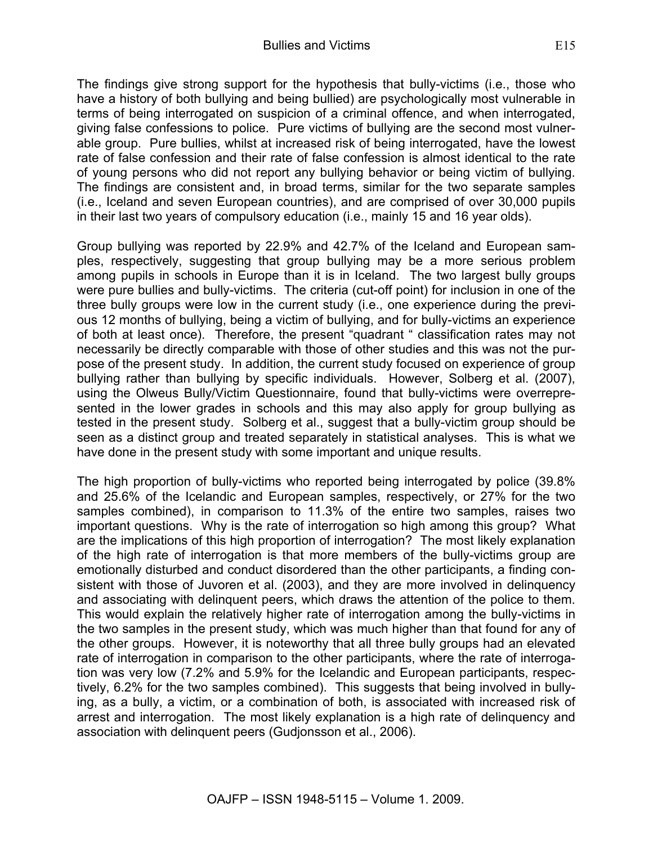The findings give strong support for the hypothesis that bully-victims (i.e., those who have a history of both bullying and being bullied) are psychologically most vulnerable in terms of being interrogated on suspicion of a criminal offence, and when interrogated, giving false confessions to police. Pure victims of bullying are the second most vulnerable group. Pure bullies, whilst at increased risk of being interrogated, have the lowest rate of false confession and their rate of false confession is almost identical to the rate of young persons who did not report any bullying behavior or being victim of bullying. The findings are consistent and, in broad terms, similar for the two separate samples (i.e., Iceland and seven European countries), and are comprised of over 30,000 pupils in their last two years of compulsory education (i.e., mainly 15 and 16 year olds).

Group bullying was reported by 22.9% and 42.7% of the Iceland and European samples, respectively, suggesting that group bullying may be a more serious problem among pupils in schools in Europe than it is in Iceland. The two largest bully groups were pure bullies and bully-victims. The criteria (cut-off point) for inclusion in one of the three bully groups were low in the current study (i.e., one experience during the previous 12 months of bullying, being a victim of bullying, and for bully-victims an experience of both at least once). Therefore, the present "quadrant " classification rates may not necessarily be directly comparable with those of other studies and this was not the purpose of the present study. In addition, the current study focused on experience of group bullying rather than bullying by specific individuals. However, Solberg et al. (2007), using the Olweus Bully/Victim Questionnaire, found that bully-victims were overrepresented in the lower grades in schools and this may also apply for group bullying as tested in the present study. Solberg et al., suggest that a bully-victim group should be seen as a distinct group and treated separately in statistical analyses. This is what we have done in the present study with some important and unique results.

The high proportion of bully-victims who reported being interrogated by police (39.8% and 25.6% of the Icelandic and European samples, respectively, or 27% for the two samples combined), in comparison to 11.3% of the entire two samples, raises two important questions. Why is the rate of interrogation so high among this group? What are the implications of this high proportion of interrogation? The most likely explanation of the high rate of interrogation is that more members of the bully-victims group are emotionally disturbed and conduct disordered than the other participants, a finding consistent with those of Juvoren et al. (2003), and they are more involved in delinquency and associating with delinquent peers, which draws the attention of the police to them. This would explain the relatively higher rate of interrogation among the bully-victims in the two samples in the present study, which was much higher than that found for any of the other groups. However, it is noteworthy that all three bully groups had an elevated rate of interrogation in comparison to the other participants, where the rate of interrogation was very low (7.2% and 5.9% for the Icelandic and European participants, respectively, 6.2% for the two samples combined). This suggests that being involved in bullying, as a bully, a victim, or a combination of both, is associated with increased risk of arrest and interrogation. The most likely explanation is a high rate of delinquency and association with delinquent peers (Gudjonsson et al., 2006).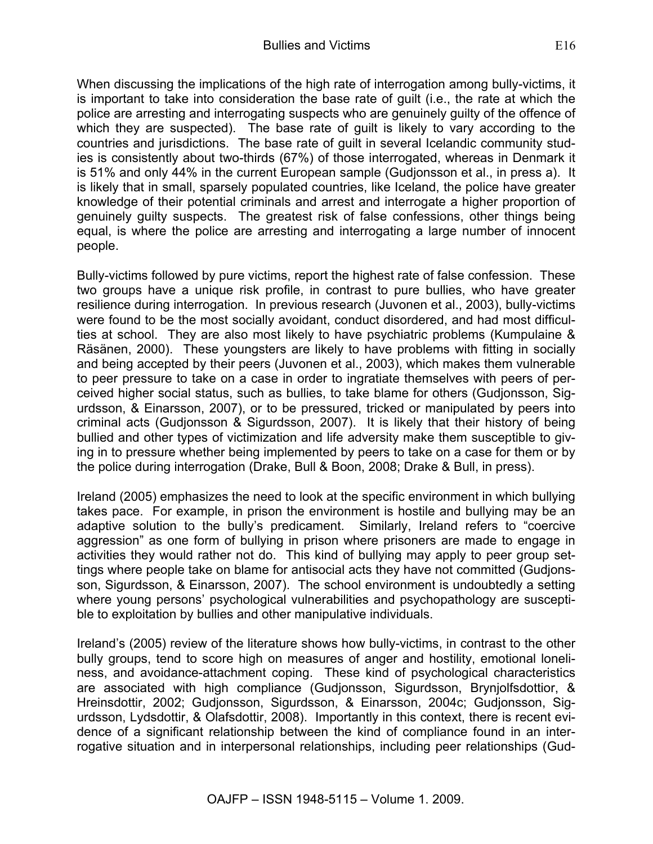When discussing the implications of the high rate of interrogation among bully-victims, it is important to take into consideration the base rate of guilt (i.e., the rate at which the police are arresting and interrogating suspects who are genuinely guilty of the offence of which they are suspected). The base rate of guilt is likely to vary according to the countries and jurisdictions. The base rate of guilt in several Icelandic community studies is consistently about two-thirds (67%) of those interrogated, whereas in Denmark it is 51% and only 44% in the current European sample (Gudjonsson et al., in press a). It is likely that in small, sparsely populated countries, like Iceland, the police have greater knowledge of their potential criminals and arrest and interrogate a higher proportion of genuinely guilty suspects. The greatest risk of false confessions, other things being equal, is where the police are arresting and interrogating a large number of innocent people.

Bully-victims followed by pure victims, report the highest rate of false confession. These two groups have a unique risk profile, in contrast to pure bullies, who have greater resilience during interrogation. In previous research (Juvonen et al., 2003), bully-victims were found to be the most socially avoidant, conduct disordered, and had most difficulties at school. They are also most likely to have psychiatric problems (Kumpulaine & Räsänen, 2000). These youngsters are likely to have problems with fitting in socially and being accepted by their peers (Juvonen et al., 2003), which makes them vulnerable to peer pressure to take on a case in order to ingratiate themselves with peers of perceived higher social status, such as bullies, to take blame for others (Gudjonsson, Sigurdsson, & Einarsson, 2007), or to be pressured, tricked or manipulated by peers into criminal acts (Gudjonsson & Sigurdsson, 2007). It is likely that their history of being bullied and other types of victimization and life adversity make them susceptible to giving in to pressure whether being implemented by peers to take on a case for them or by the police during interrogation (Drake, Bull & Boon, 2008; Drake & Bull, in press).

Ireland (2005) emphasizes the need to look at the specific environment in which bullying takes pace. For example, in prison the environment is hostile and bullying may be an adaptive solution to the bully's predicament. Similarly, Ireland refers to "coercive aggression" as one form of bullying in prison where prisoners are made to engage in activities they would rather not do. This kind of bullying may apply to peer group settings where people take on blame for antisocial acts they have not committed (Gudjonsson, Sigurdsson, & Einarsson, 2007). The school environment is undoubtedly a setting where young persons' psychological vulnerabilities and psychopathology are susceptible to exploitation by bullies and other manipulative individuals.

Ireland's (2005) review of the literature shows how bully-victims, in contrast to the other bully groups, tend to score high on measures of anger and hostility, emotional loneliness, and avoidance-attachment coping. These kind of psychological characteristics are associated with high compliance (Gudjonsson, Sigurdsson, Brynjolfsdottior, & Hreinsdottir, 2002; Gudjonsson, Sigurdsson, & Einarsson, 2004c; Gudjonsson, Sigurdsson, Lydsdottir, & Olafsdottir, 2008). Importantly in this context, there is recent evidence of a significant relationship between the kind of compliance found in an interrogative situation and in interpersonal relationships, including peer relationships (Gud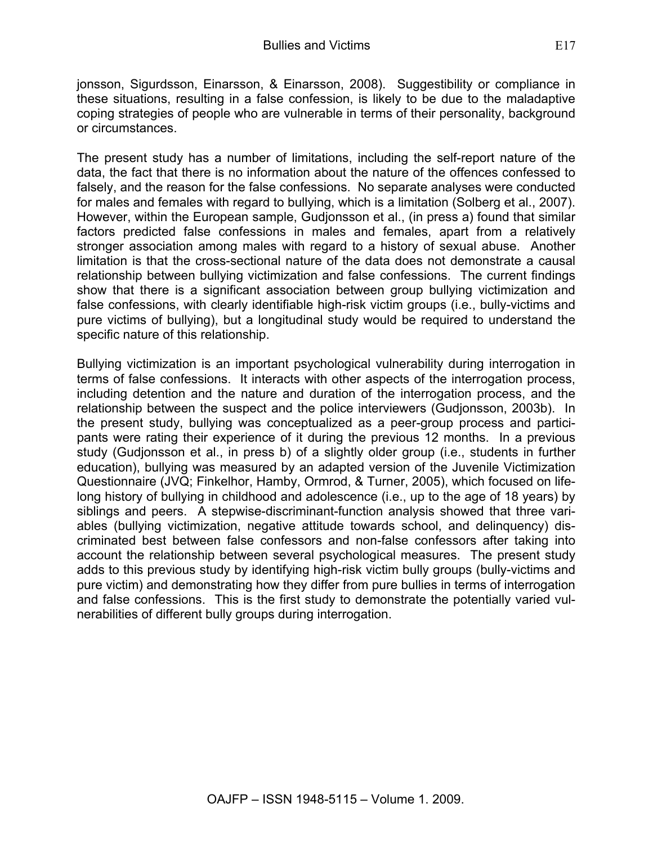jonsson, Sigurdsson, Einarsson, & Einarsson, 2008). Suggestibility or compliance in these situations, resulting in a false confession, is likely to be due to the maladaptive coping strategies of people who are vulnerable in terms of their personality, background or circumstances.

The present study has a number of limitations, including the self-report nature of the data, the fact that there is no information about the nature of the offences confessed to falsely, and the reason for the false confessions. No separate analyses were conducted for males and females with regard to bullying, which is a limitation (Solberg et al., 2007). However, within the European sample, Gudjonsson et al., (in press a) found that similar factors predicted false confessions in males and females, apart from a relatively stronger association among males with regard to a history of sexual abuse. Another limitation is that the cross-sectional nature of the data does not demonstrate a causal relationship between bullying victimization and false confessions. The current findings show that there is a significant association between group bullying victimization and false confessions, with clearly identifiable high-risk victim groups (i.e., bully-victims and pure victims of bullying), but a longitudinal study would be required to understand the specific nature of this relationship.

Bullying victimization is an important psychological vulnerability during interrogation in terms of false confessions. It interacts with other aspects of the interrogation process, including detention and the nature and duration of the interrogation process, and the relationship between the suspect and the police interviewers (Gudjonsson, 2003b). In the present study, bullying was conceptualized as a peer-group process and participants were rating their experience of it during the previous 12 months. In a previous study (Gudjonsson et al., in press b) of a slightly older group (i.e., students in further education), bullying was measured by an adapted version of the Juvenile Victimization Questionnaire (JVQ; Finkelhor, Hamby, Ormrod, & Turner, 2005), which focused on lifelong history of bullying in childhood and adolescence (i.e., up to the age of 18 years) by siblings and peers. A stepwise-discriminant-function analysis showed that three variables (bullying victimization, negative attitude towards school, and delinquency) discriminated best between false confessors and non-false confessors after taking into account the relationship between several psychological measures. The present study adds to this previous study by identifying high-risk victim bully groups (bully-victims and pure victim) and demonstrating how they differ from pure bullies in terms of interrogation and false confessions. This is the first study to demonstrate the potentially varied vulnerabilities of different bully groups during interrogation.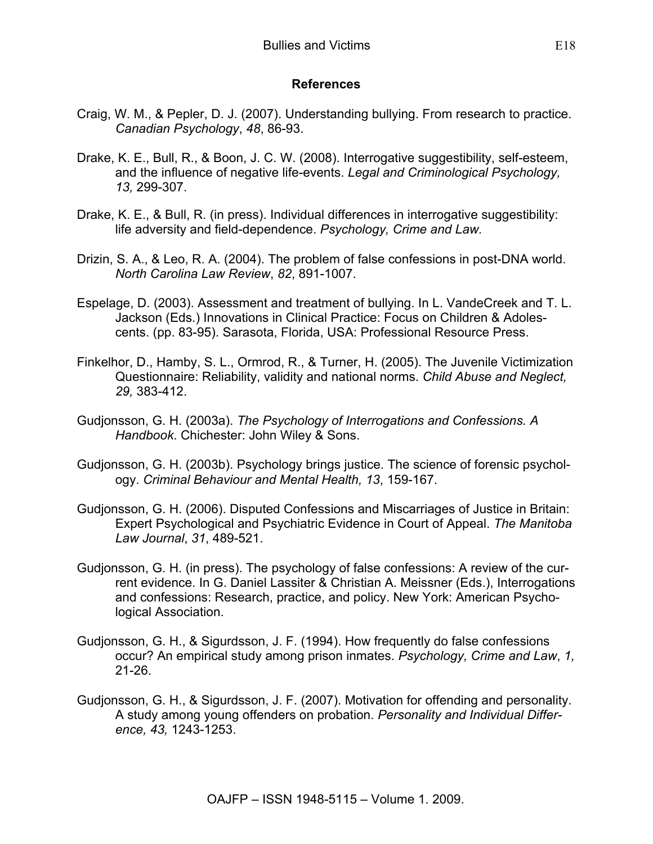#### **References**

- Craig, W. M., & Pepler, D. J. (2007). Understanding bullying. From research to practice. *Canadian Psychology*, *48*, 86-93.
- Drake, K. E., Bull, R., & Boon, J. C. W. (2008). Interrogative suggestibility, self-esteem, and the influence of negative life-events. *Legal and Criminological Psychology, 13,* 299-307.
- Drake, K. E., & Bull, R. (in press). Individual differences in interrogative suggestibility: life adversity and field-dependence. *Psychology, Crime and Law.*
- Drizin, S. A., & Leo, R. A. (2004). The problem of false confessions in post-DNA world. *North Carolina Law Review*, *82*, 891-1007.
- Espelage, D. (2003). Assessment and treatment of bullying. In L. VandeCreek and T. L. Jackson (Eds.) Innovations in Clinical Practice: Focus on Children & Adolescents. (pp. 83-95). Sarasota, Florida, USA: Professional Resource Press.
- Finkelhor, D., Hamby, S. L., Ormrod, R., & Turner, H. (2005). The Juvenile Victimization Questionnaire: Reliability, validity and national norms. *Child Abuse and Neglect, 29,* 383-412.
- Gudjonsson, G. H. (2003a). *The Psychology of Interrogations and Confessions. A Handbook*. Chichester: John Wiley & Sons.
- Gudjonsson, G. H. (2003b). Psychology brings justice. The science of forensic psychology. *Criminal Behaviour and Mental Health, 13*, 159-167.
- Gudjonsson, G. H. (2006). Disputed Confessions and Miscarriages of Justice in Britain: Expert Psychological and Psychiatric Evidence in Court of Appeal. *The Manitoba Law Journal*, *31*, 489-521.
- Gudjonsson, G. H. (in press). The psychology of false confessions: A review of the current evidence. In G. Daniel Lassiter & Christian A. Meissner (Eds.), Interrogations and confessions: Research, practice, and policy. New York: American Psychological Association.
- Gudjonsson, G. H., & Sigurdsson, J. F. (1994). How frequently do false confessions occur? An empirical study among prison inmates. *Psychology, Crime and Law*, *1,* 21-26.
- Gudjonsson, G. H., & Sigurdsson, J. F. (2007). Motivation for offending and personality. A study among young offenders on probation. *Personality and Individual Difference, 43,* 1243-1253.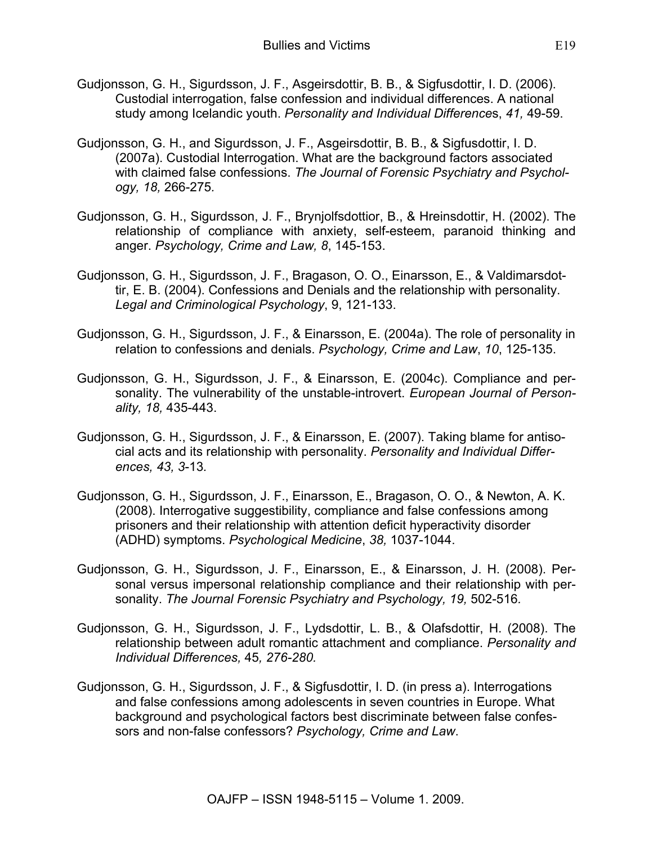- Gudjonsson, G. H., Sigurdsson, J. F., Asgeirsdottir, B. B., & Sigfusdottir, I. D. (2006). Custodial interrogation, false confession and individual differences. A national study among Icelandic youth. *Personality and Individual Difference*s, *41,* 49-59.
- Gudjonsson, G. H., and Sigurdsson, J. F., Asgeirsdottir, B. B., & Sigfusdottir, I. D. (2007a). Custodial Interrogation. What are the background factors associated with claimed false confessions. *The Journal of Forensic Psychiatry and Psychology, 18,* 266-275*.*
- Gudjonsson, G. H., Sigurdsson, J. F., Brynjolfsdottior, B., & Hreinsdottir, H. (2002). The relationship of compliance with anxiety, self-esteem, paranoid thinking and anger. *Psychology, Crime and Law, 8*, 145-153.
- Gudjonsson, G. H., Sigurdsson, J. F., Bragason, O. O., Einarsson, E., & Valdimarsdottir, E. B. (2004). Confessions and Denials and the relationship with personality. *Legal and Criminological Psychology*, 9, 121-133.
- Gudjonsson, G. H., Sigurdsson, J. F., & Einarsson, E. (2004a). The role of personality in relation to confessions and denials. *Psychology, Crime and Law*, *10*, 125-135.
- Gudjonsson, G. H., Sigurdsson, J. F., & Einarsson, E. (2004c). Compliance and personality. The vulnerability of the unstable-introvert. *European Journal of Personality, 18,* 435-443.
- Gudjonsson, G. H., Sigurdsson, J. F., & Einarsson, E. (2007). Taking blame for antisocial acts and its relationship with personality. *Personality and Individual Differences, 43, 3*-13*.*
- Gudjonsson, G. H., Sigurdsson, J. F., Einarsson, E., Bragason, O. O., & Newton, A. K. (2008). Interrogative suggestibility, compliance and false confessions among prisoners and their relationship with attention deficit hyperactivity disorder (ADHD) symptoms. *Psychological Medicine*, *38,* 1037-1044.
- Gudjonsson, G. H., Sigurdsson, J. F., Einarsson, E., & Einarsson, J. H. (2008). Personal versus impersonal relationship compliance and their relationship with personality. *The Journal Forensic Psychiatry and Psychology, 19,* 502-516*.*
- Gudjonsson, G. H., Sigurdsson, J. F., Lydsdottir, L. B., & Olafsdottir, H. (2008). The relationship between adult romantic attachment and compliance. *Personality and Individual Differences,* 45*, 276-280.*
- Gudjonsson, G. H., Sigurdsson, J. F., & Sigfusdottir, I. D. (in press a). Interrogations and false confessions among adolescents in seven countries in Europe. What background and psychological factors best discriminate between false confessors and non-false confessors? *Psychology, Crime and Law*.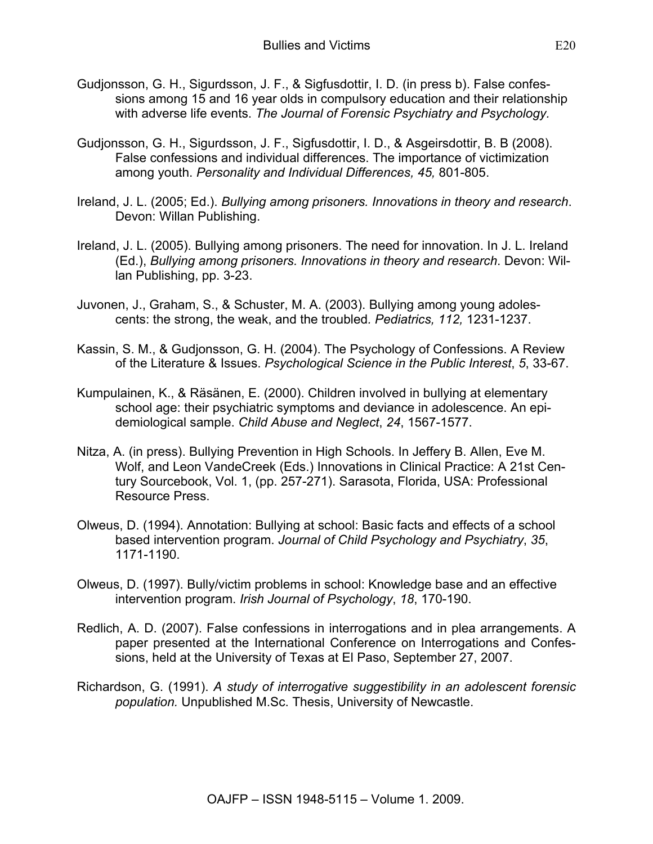- Gudjonsson, G. H., Sigurdsson, J. F., & Sigfusdottir, I. D. (in press b). False confessions among 15 and 16 year olds in compulsory education and their relationship with adverse life events. *The Journal of Forensic Psychiatry and Psychology.*
- Gudjonsson, G. H., Sigurdsson, J. F., Sigfusdottir, I. D., & Asgeirsdottir, B. B (2008). False confessions and individual differences. The importance of victimization among youth. *Personality and Individual Differences, 45,* 801-805.
- Ireland, J. L. (2005; Ed.). *Bullying among prisoners. Innovations in theory and research*. Devon: Willan Publishing.
- Ireland, J. L. (2005). Bullying among prisoners. The need for innovation. In J. L. Ireland (Ed.), *Bullying among prisoners. Innovations in theory and research*. Devon: Willan Publishing, pp. 3-23.
- Juvonen, J., Graham, S., & Schuster, M. A. (2003). Bullying among young adolescents: the strong, the weak, and the troubled*. Pediatrics, 112,* 1231-1237.
- Kassin, S. M., & Gudjonsson, G. H. (2004). The Psychology of Confessions. A Review of the Literature & Issues. *Psychological Science in the Public Interest*, *5*, 33-67.
- Kumpulainen, K., & Räsänen, E. (2000). Children involved in bullying at elementary school age: their psychiatric symptoms and deviance in adolescence. An epidemiological sample. *Child Abuse and Neglect*, *24*, 1567-1577.
- Nitza, A. (in press). Bullying Prevention in High Schools. In Jeffery B. Allen, Eve M. Wolf, and Leon VandeCreek (Eds.) Innovations in Clinical Practice: A 21st Century Sourcebook, Vol. 1, (pp. 257-271). Sarasota, Florida, USA: Professional Resource Press.
- Olweus, D. (1994). Annotation: Bullying at school: Basic facts and effects of a school based intervention program. *Journal of Child Psychology and Psychiatry*, *35*, 1171-1190.
- Olweus, D. (1997). Bully/victim problems in school: Knowledge base and an effective intervention program. *Irish Journal of Psychology*, *18*, 170-190.
- Redlich, A. D. (2007). False confessions in interrogations and in plea arrangements. A paper presented at the International Conference on Interrogations and Confessions, held at the University of Texas at El Paso, September 27, 2007.
- Richardson, G. (1991). *A study of interrogative suggestibility in an adolescent forensic population.* Unpublished M.Sc. Thesis, University of Newcastle.